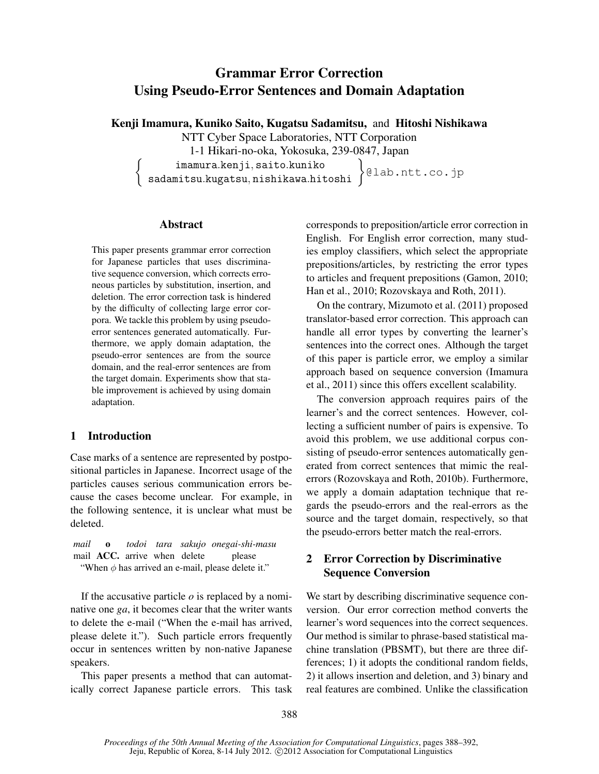# Grammar Error Correction Using Pseudo-Error Sentences and Domain Adaptation

Kenji Imamura, Kuniko Saito, Kugatsu Sadamitsu, and Hitoshi Nishikawa

NTT Cyber Space Laboratories, NTT Corporation

1-1 Hikari-no-oka, Yokosuka, 239-0847, Japan

imamura*.*kenji*,* saito*.*kuniko sadamitsu*.*kugatsu*,* nishikawa*.*hitoshi } @lab.ntt.co.jp

#### Abstract

 $\sqrt{ }$ 

This paper presents grammar error correction for Japanese particles that uses discriminative sequence conversion, which corrects erroneous particles by substitution, insertion, and deletion. The error correction task is hindered by the difficulty of collecting large error corpora. We tackle this problem by using pseudoerror sentences generated automatically. Furthermore, we apply domain adaptation, the pseudo-error sentences are from the source domain, and the real-error sentences are from the target domain. Experiments show that stable improvement is achieved by using domain adaptation.

## 1 Introduction

Case marks of a sentence are represented by postpositional particles in Japanese. Incorrect usage of the particles causes serious communication errors because the cases become unclear. For example, in the following sentence, it is unclear what must be deleted.

*mail* o *todoi tara sakujo onegai-shi-masu* mail **ACC**. arrive when delete please "When *φ* has arrived an e-mail, please delete it."

If the accusative particle *o* is replaced by a nominative one *ga*, it becomes clear that the writer wants to delete the e-mail ("When the e-mail has arrived, please delete it."). Such particle errors frequently occur in sentences written by non-native Japanese speakers.

This paper presents a method that can automatically correct Japanese particle errors. This task corresponds to preposition/article error correction in English. For English error correction, many studies employ classifiers, which select the appropriate prepositions/articles, by restricting the error types to articles and frequent prepositions (Gamon, 2010; Han et al., 2010; Rozovskaya and Roth, 2011).

On the contrary, Mizumoto et al. (2011) proposed translator-based error correction. This approach can handle all error types by converting the learner's sentences into the correct ones. Although the target of this paper is particle error, we employ a similar approach based on sequence conversion (Imamura et al., 2011) since this offers excellent scalability.

The conversion approach requires pairs of the learner's and the correct sentences. However, collecting a sufficient number of pairs is expensive. To avoid this problem, we use additional corpus consisting of pseudo-error sentences automatically generated from correct sentences that mimic the realerrors (Rozovskaya and Roth, 2010b). Furthermore, we apply a domain adaptation technique that regards the pseudo-errors and the real-errors as the source and the target domain, respectively, so that the pseudo-errors better match the real-errors.

# 2 Error Correction by Discriminative Sequence Conversion

We start by describing discriminative sequence conversion. Our error correction method converts the learner's word sequences into the correct sequences. Our method is similar to phrase-based statistical machine translation (PBSMT), but there are three differences; 1) it adopts the conditional random fields, 2) it allows insertion and deletion, and 3) binary and real features are combined. Unlike the classification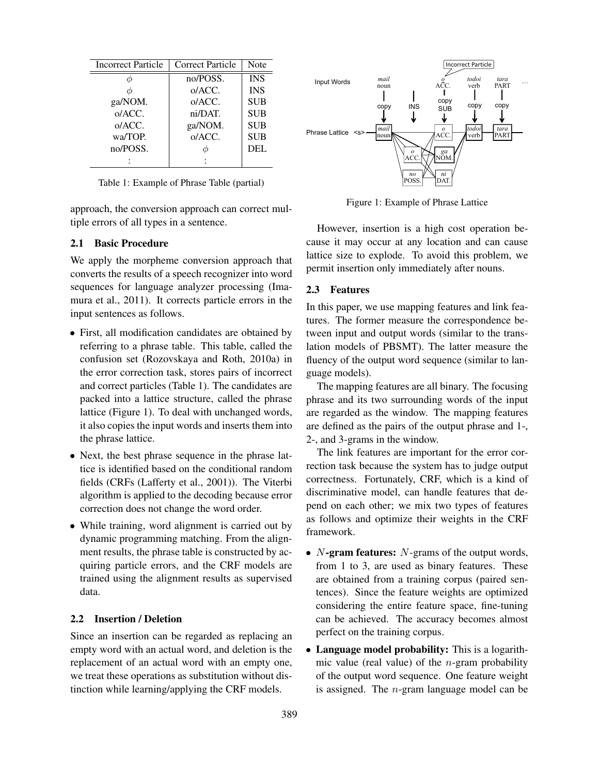| <b>Incorrect Particle</b> | Correct Particle | Note       |
|---------------------------|------------------|------------|
|                           | no/POSS.         | <b>INS</b> |
|                           | o/ACC.           | <b>INS</b> |
| ga/NOM.                   | o/ACC.           | <b>SUB</b> |
| o/ACC.                    | ni/DAT.          | <b>SUB</b> |
| o/ACC.                    | ga/NOM.          | <b>SUB</b> |
| wa/TOP.                   | o/ACC.           | <b>SUB</b> |
| no/POSS.                  |                  | <b>DEL</b> |
|                           |                  |            |

Table 1: Example of Phrase Table (partial)

approach, the conversion approach can correct multiple errors of all types in a sentence.

#### 2.1 Basic Procedure

We apply the morpheme conversion approach that converts the results of a speech recognizer into word sequences for language analyzer processing (Imamura et al., 2011). It corrects particle errors in the input sentences as follows.

- *•* First, all modification candidates are obtained by referring to a phrase table. This table, called the confusion set (Rozovskaya and Roth, 2010a) in the error correction task, stores pairs of incorrect and correct particles (Table 1). The candidates are packed into a lattice structure, called the phrase lattice (Figure 1). To deal with unchanged words, it also copies the input words and inserts them into the phrase lattice.
- *•* Next, the best phrase sequence in the phrase lattice is identified based on the conditional random fields (CRFs (Lafferty et al., 2001)). The Viterbi algorithm is applied to the decoding because error correction does not change the word order.
- While training, word alignment is carried out by dynamic programming matching. From the alignment results, the phrase table is constructed by acquiring particle errors, and the CRF models are trained using the alignment results as supervised data.

#### 2.2 Insertion / Deletion

Since an insertion can be regarded as replacing an empty word with an actual word, and deletion is the replacement of an actual word with an empty one, we treat these operations as substitution without distinction while learning/applying the CRF models.



Figure 1: Example of Phrase Lattice

However, insertion is a high cost operation because it may occur at any location and can cause lattice size to explode. To avoid this problem, we permit insertion only immediately after nouns.

#### 2.3 Features

In this paper, we use mapping features and link features. The former measure the correspondence between input and output words (similar to the translation models of PBSMT). The latter measure the fluency of the output word sequence (similar to language models).

The mapping features are all binary. The focusing phrase and its two surrounding words of the input are regarded as the window. The mapping features are defined as the pairs of the output phrase and 1-, 2-, and 3-grams in the window.

The link features are important for the error correction task because the system has to judge output correctness. Fortunately, CRF, which is a kind of discriminative model, can handle features that depend on each other; we mix two types of features as follows and optimize their weights in the CRF framework.

- *• N*-gram features: *N*-grams of the output words, from 1 to 3, are used as binary features. These are obtained from a training corpus (paired sentences). Since the feature weights are optimized considering the entire feature space, fine-tuning can be achieved. The accuracy becomes almost perfect on the training corpus.
- *•* Language model probability: This is a logarithmic value (real value) of the *n*-gram probability of the output word sequence. One feature weight is assigned. The *n*-gram language model can be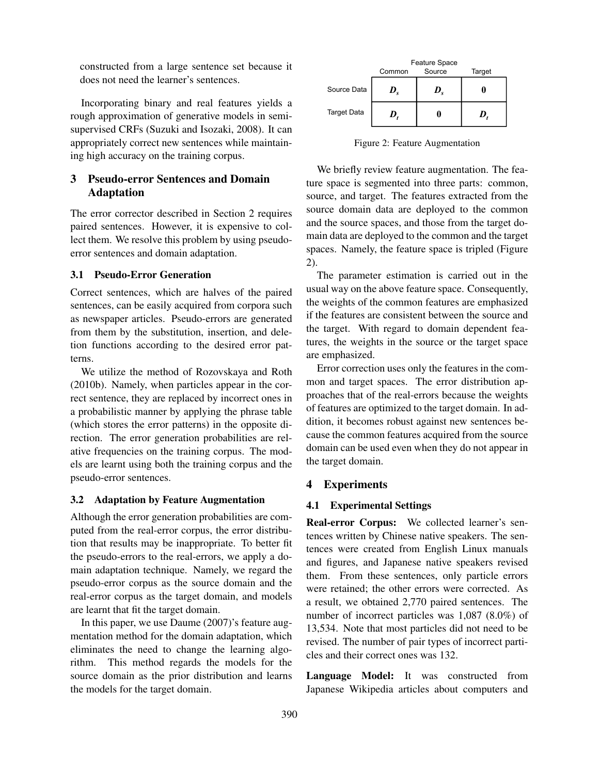constructed from a large sentence set because it does not need the learner's sentences.

Incorporating binary and real features yields a rough approximation of generative models in semisupervised CRFs (Suzuki and Isozaki, 2008). It can appropriately correct new sentences while maintaining high accuracy on the training corpus.

# 3 Pseudo-error Sentences and Domain Adaptation

The error corrector described in Section 2 requires paired sentences. However, it is expensive to collect them. We resolve this problem by using pseudoerror sentences and domain adaptation.

#### 3.1 Pseudo-Error Generation

Correct sentences, which are halves of the paired sentences, can be easily acquired from corpora such as newspaper articles. Pseudo-errors are generated from them by the substitution, insertion, and deletion functions according to the desired error patterns.

We utilize the method of Rozovskaya and Roth (2010b). Namely, when particles appear in the correct sentence, they are replaced by incorrect ones in a probabilistic manner by applying the phrase table (which stores the error patterns) in the opposite direction. The error generation probabilities are relative frequencies on the training corpus. The models are learnt using both the training corpus and the pseudo-error sentences.

## 3.2 Adaptation by Feature Augmentation

Although the error generation probabilities are computed from the real-error corpus, the error distribution that results may be inappropriate. To better fit the pseudo-errors to the real-errors, we apply a domain adaptation technique. Namely, we regard the pseudo-error corpus as the source domain and the real-error corpus as the target domain, and models are learnt that fit the target domain.

In this paper, we use Daume (2007)'s feature augmentation method for the domain adaptation, which eliminates the need to change the learning algorithm. This method regards the models for the source domain as the prior distribution and learns the models for the target domain.

|                    | Feature Space |        |        |
|--------------------|---------------|--------|--------|
|                    | Common        | Source | Target |
| Source Data        | V.            | D.     |        |
| <b>Target Data</b> | $\bm{D}$      |        | D      |

Figure 2: Feature Augmentation

We briefly review feature augmentation. The feature space is segmented into three parts: common, source, and target. The features extracted from the source domain data are deployed to the common and the source spaces, and those from the target domain data are deployed to the common and the target spaces. Namely, the feature space is tripled (Figure 2).

The parameter estimation is carried out in the usual way on the above feature space. Consequently, the weights of the common features are emphasized if the features are consistent between the source and the target. With regard to domain dependent features, the weights in the source or the target space are emphasized.

Error correction uses only the features in the common and target spaces. The error distribution approaches that of the real-errors because the weights of features are optimized to the target domain. In addition, it becomes robust against new sentences because the common features acquired from the source domain can be used even when they do not appear in the target domain.

# 4 Experiments

## 4.1 Experimental Settings

Real-error Corpus: We collected learner's sentences written by Chinese native speakers. The sentences were created from English Linux manuals and figures, and Japanese native speakers revised them. From these sentences, only particle errors were retained; the other errors were corrected. As a result, we obtained 2,770 paired sentences. The number of incorrect particles was 1,087 (8.0%) of 13,534. Note that most particles did not need to be revised. The number of pair types of incorrect particles and their correct ones was 132.

Language Model: It was constructed from Japanese Wikipedia articles about computers and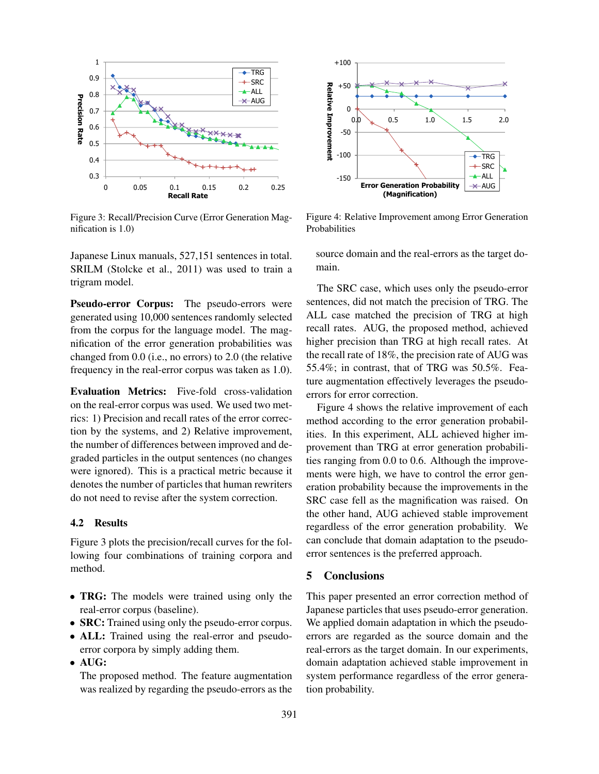

Figure 3: Recall/Precision Curve (Error Generation Magnification is 1.0)

Japanese Linux manuals, 527,151 sentences in total. SRILM (Stolcke et al., 2011) was used to train a trigram model.

Pseudo-error Corpus: The pseudo-errors were generated using 10,000 sentences randomly selected from the corpus for the language model. The magnification of the error generation probabilities was changed from 0.0 (i.e., no errors) to 2.0 (the relative frequency in the real-error corpus was taken as 1.0).

Evaluation Metrics: Five-fold cross-validation on the real-error corpus was used. We used two metrics: 1) Precision and recall rates of the error correction by the systems, and 2) Relative improvement, the number of differences between improved and degraded particles in the output sentences (no changes were ignored). This is a practical metric because it denotes the number of particles that human rewriters do not need to revise after the system correction.

#### 4.2 Results

Figure 3 plots the precision/recall curves for the following four combinations of training corpora and method.

- **TRG:** The models were trained using only the real-error corpus (baseline).
- **SRC:** Trained using only the pseudo-error corpus.
- ALL: Trained using the real-error and pseudoerror corpora by simply adding them.
- *•* AUG:

The proposed method. The feature augmentation was realized by regarding the pseudo-errors as the



Figure 4: Relative Improvement among Error Generation Probabilities

source domain and the real-errors as the target domain.

The SRC case, which uses only the pseudo-error sentences, did not match the precision of TRG. The ALL case matched the precision of TRG at high recall rates. AUG, the proposed method, achieved higher precision than TRG at high recall rates. At the recall rate of 18%, the precision rate of AUG was 55.4%; in contrast, that of TRG was 50.5%. Feature augmentation effectively leverages the pseudoerrors for error correction.

Figure 4 shows the relative improvement of each method according to the error generation probabilities. In this experiment, ALL achieved higher improvement than TRG at error generation probabilities ranging from 0.0 to 0.6. Although the improvements were high, we have to control the error generation probability because the improvements in the SRC case fell as the magnification was raised. On the other hand, AUG achieved stable improvement regardless of the error generation probability. We can conclude that domain adaptation to the pseudoerror sentences is the preferred approach.

### 5 Conclusions

This paper presented an error correction method of Japanese particles that uses pseudo-error generation. We applied domain adaptation in which the pseudoerrors are regarded as the source domain and the real-errors as the target domain. In our experiments, domain adaptation achieved stable improvement in system performance regardless of the error generation probability.